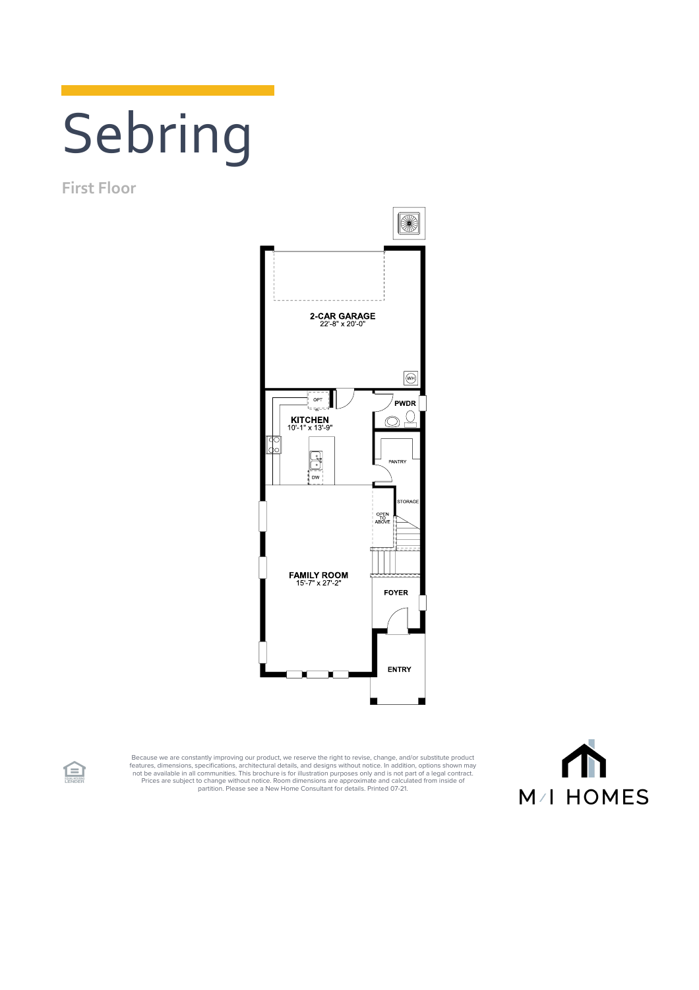## Sebring

**First Floor**



Because we are constantly improving our product, we reserve the right to revise, change, and/or substitute product<br>features, dimensions, pecifications, architectural details, and designs without notice. In addition, option



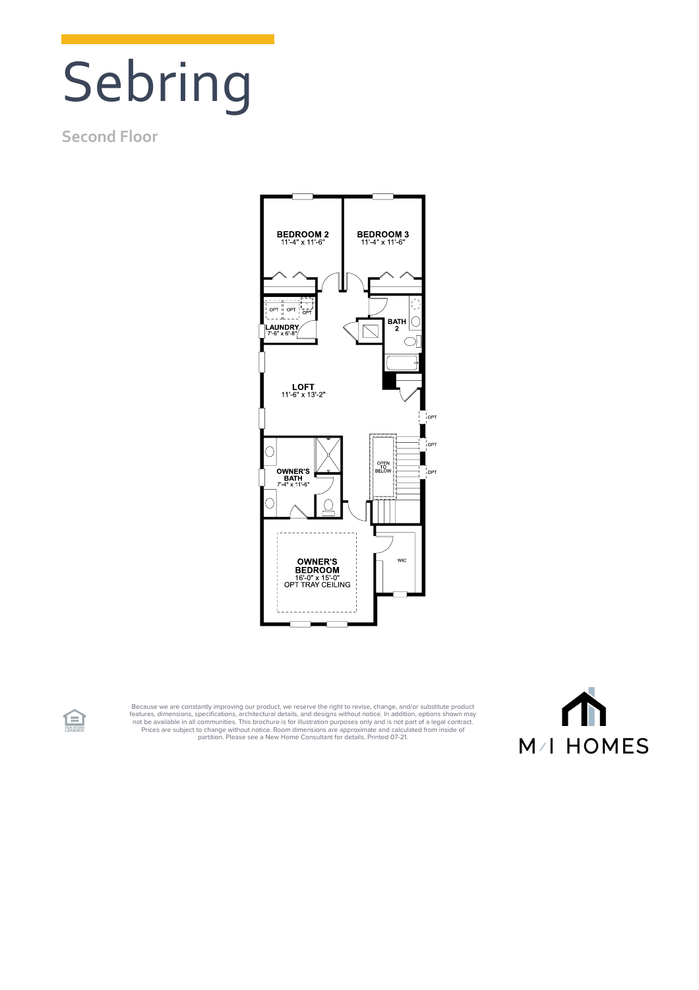## Sebring

## **Second Floor**

食



Because we are constantly improving our product, we reserve the right to revise, change, and/or substitute product<br>features, dimensions, specifications, architectural details, and designs without notice. In addition, optio